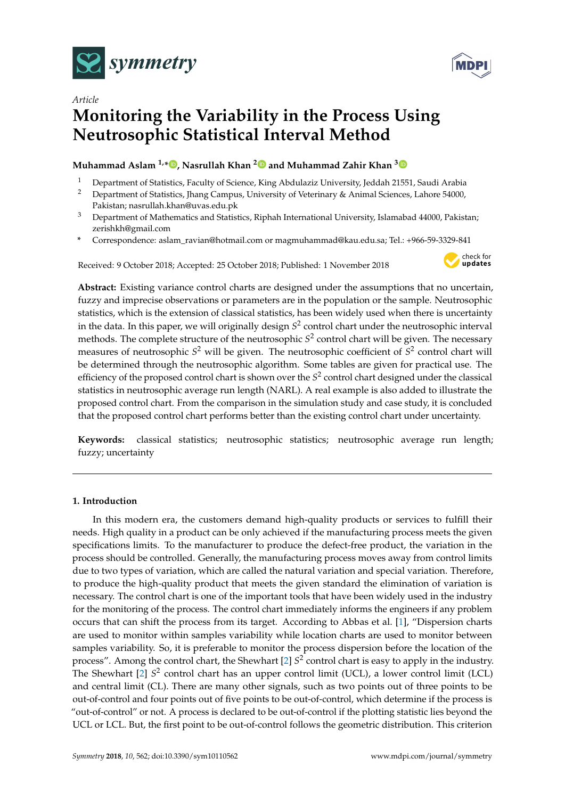



# *Article* **Monitoring the Variability in the Process Using Neutrosophic Statistical Interval Method**

# **Muhammad Aslam 1,\* [,](https://orcid.org/0000-0003-0644-1950) Nasrullah Khan [2](https://orcid.org/0000-0003-0232-3260) and Muhammad Zahir Khan [3](https://orcid.org/0000-0003-0426-7362)**

- <sup>1</sup> Department of Statistics, Faculty of Science, King Abdulaziz University, Jeddah 21551, Saudi Arabia<sup>2</sup> Department of Statistics, Japan Campus, University of Veterinary & Animal Sciences, Labora 54000
- <sup>2</sup> Department of Statistics, Jhang Campus, University of Veterinary & Animal Sciences, Lahore 54000, Pakistan; nasrullah.khan@uvas.edu.pk
- <sup>3</sup> Department of Mathematics and Statistics, Riphah International University, Islamabad 44000, Pakistan; zerishkh@gmail.com
- **\*** Correspondence: aslam\_ravian@hotmail.com or magmuhammad@kau.edu.sa; Tel.: +966-59-3329-841

Received: 9 October 2018; Accepted: 25 October 2018; Published: 1 November 2018



**Abstract:** Existing variance control charts are designed under the assumptions that no uncertain, fuzzy and imprecise observations or parameters are in the population or the sample. Neutrosophic statistics, which is the extension of classical statistics, has been widely used when there is uncertainty in the data. In this paper, we will originally design  $S^2$  control chart under the neutrosophic interval methods. The complete structure of the neutrosophic *S* 2 control chart will be given. The necessary measures of neutrosophic *S* <sup>2</sup> will be given. The neutrosophic coefficient of *S* 2 control chart will be determined through the neutrosophic algorithm. Some tables are given for practical use. The efficiency of the proposed control chart is shown over the *S* 2 control chart designed under the classical statistics in neutrosophic average run length (NARL). A real example is also added to illustrate the proposed control chart. From the comparison in the simulation study and case study, it is concluded that the proposed control chart performs better than the existing control chart under uncertainty.

**Keywords:** classical statistics; neutrosophic statistics; neutrosophic average run length; fuzzy; uncertainty

# **1. Introduction**

In this modern era, the customers demand high-quality products or services to fulfill their needs. High quality in a product can be only achieved if the manufacturing process meets the given specifications limits. To the manufacturer to produce the defect-free product, the variation in the process should be controlled. Generally, the manufacturing process moves away from control limits due to two types of variation, which are called the natural variation and special variation. Therefore, to produce the high-quality product that meets the given standard the elimination of variation is necessary. The control chart is one of the important tools that have been widely used in the industry for the monitoring of the process. The control chart immediately informs the engineers if any problem occurs that can shift the process from its target. According to Abbas et al. [\[1\]](#page-8-0), "Dispersion charts are used to monitor within samples variability while location charts are used to monitor between samples variability. So, it is preferable to monitor the process dispersion before the location of the process". Among the control chart, the Shewhart [\[2\]](#page-8-1) *S* 2 control chart is easy to apply in the industry. The Shewhart [\[2\]](#page-8-1)  $S^2$  control chart has an upper control limit (UCL), a lower control limit (LCL) and central limit (CL). There are many other signals, such as two points out of three points to be out-of-control and four points out of five points to be out-of-control, which determine if the process is "out-of-control" or not. A process is declared to be out-of-control if the plotting statistic lies beyond the UCL or LCL. But, the first point to be out-of-control follows the geometric distribution. This criterion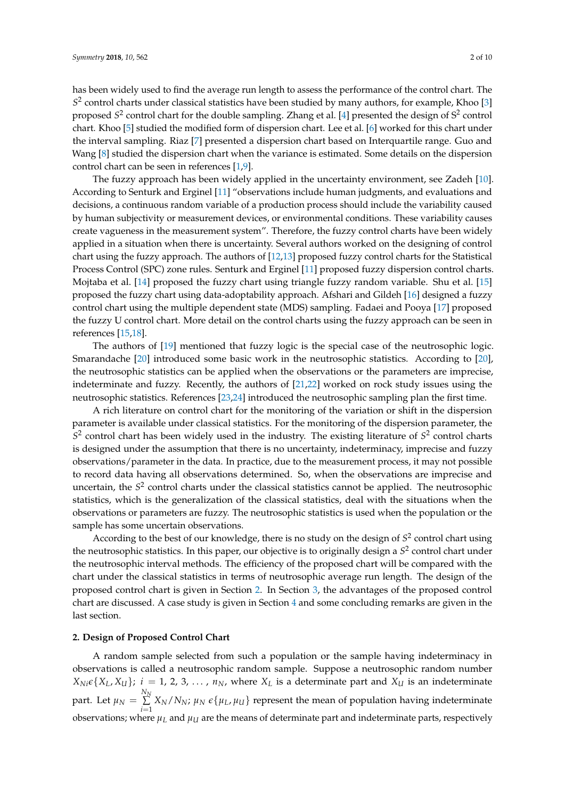has been widely used to find the average run length to assess the performance of the control chart. The  $S<sup>2</sup>$  control charts under classical statistics have been studied by many authors, for example, Khoo [\[3\]](#page-8-2) proposed  $S^2$  control chart for the double sampling. Zhang et al. [\[4\]](#page-8-3) presented the design of  $S^2$  control chart. Khoo [\[5\]](#page-8-4) studied the modified form of dispersion chart. Lee et al. [\[6\]](#page-8-5) worked for this chart under the interval sampling. Riaz [\[7\]](#page-8-6) presented a dispersion chart based on Interquartile range. Guo and Wang [\[8\]](#page-9-0) studied the dispersion chart when the variance is estimated. Some details on the dispersion control chart can be seen in references [\[1](#page-8-0)[,9\]](#page-9-1).

The fuzzy approach has been widely applied in the uncertainty environment, see Zadeh [\[10\]](#page-9-2). According to Senturk and Erginel [\[11\]](#page-9-3) "observations include human judgments, and evaluations and decisions, a continuous random variable of a production process should include the variability caused by human subjectivity or measurement devices, or environmental conditions. These variability causes create vagueness in the measurement system". Therefore, the fuzzy control charts have been widely applied in a situation when there is uncertainty. Several authors worked on the designing of control chart using the fuzzy approach. The authors of [\[12,](#page-9-4)[13\]](#page-9-5) proposed fuzzy control charts for the Statistical Process Control (SPC) zone rules. Senturk and Erginel [\[11\]](#page-9-3) proposed fuzzy dispersion control charts. Mojtaba et al. [\[14\]](#page-9-6) proposed the fuzzy chart using triangle fuzzy random variable. Shu et al. [\[15\]](#page-9-7) proposed the fuzzy chart using data-adoptability approach. Afshari and Gildeh [\[16\]](#page-9-8) designed a fuzzy control chart using the multiple dependent state (MDS) sampling. Fadaei and Pooya [\[17\]](#page-9-9) proposed the fuzzy U control chart. More detail on the control charts using the fuzzy approach can be seen in references [\[15,](#page-9-7)[18\]](#page-9-10).

The authors of [\[19\]](#page-9-11) mentioned that fuzzy logic is the special case of the neutrosophic logic. Smarandache [\[20\]](#page-9-12) introduced some basic work in the neutrosophic statistics. According to [\[20\]](#page-9-12), the neutrosophic statistics can be applied when the observations or the parameters are imprecise, indeterminate and fuzzy. Recently, the authors of [\[21](#page-9-13)[,22\]](#page-9-14) worked on rock study issues using the neutrosophic statistics. References [\[23,](#page-9-15)[24\]](#page-9-16) introduced the neutrosophic sampling plan the first time.

A rich literature on control chart for the monitoring of the variation or shift in the dispersion parameter is available under classical statistics. For the monitoring of the dispersion parameter, the *S* 2 control chart has been widely used in the industry. The existing literature of *S* 2 control charts is designed under the assumption that there is no uncertainty, indeterminacy, imprecise and fuzzy observations/parameter in the data. In practice, due to the measurement process, it may not possible to record data having all observations determined. So, when the observations are imprecise and uncertain, the *S*<sup>2</sup> control charts under the classical statistics cannot be applied. The neutrosophic statistics, which is the generalization of the classical statistics, deal with the situations when the observations or parameters are fuzzy. The neutrosophic statistics is used when the population or the sample has some uncertain observations.

According to the best of our knowledge, there is no study on the design of *S* 2 control chart using the neutrosophic statistics. In this paper, our objective is to originally design a *S* 2 control chart under the neutrosophic interval methods. The efficiency of the proposed chart will be compared with the chart under the classical statistics in terms of neutrosophic average run length. The design of the proposed control chart is given in Section [2.](#page-1-0) In Section [3,](#page-5-0) the advantages of the proposed control chart are discussed. A case study is given in Section [4](#page-6-0) and some concluding remarks are given in the last section.

#### <span id="page-1-0"></span>**2. Design of Proposed Control Chart**

A random sample selected from such a population or the sample having indeterminacy in observations is called a neutrosophic random sample. Suppose a neutrosophic random number  $X_{Ni}\epsilon\{X_L, X_U\}$ ;  $i = 1, 2, 3, ..., n_N$ , where  $X_L$  is a determinate part and  $X_U$  is an indeterminate part. Let  $\mu_N = \sum^{N_N}$ ∑  $\sum_{i=1}^{n} X_N/N_N$ ;  $\mu_N \in {\mu_L, \mu_U}$  represent the mean of population having indeterminate observations; where  $\mu_L$  and  $\mu_U$  are the means of determinate part and indeterminate parts, respectively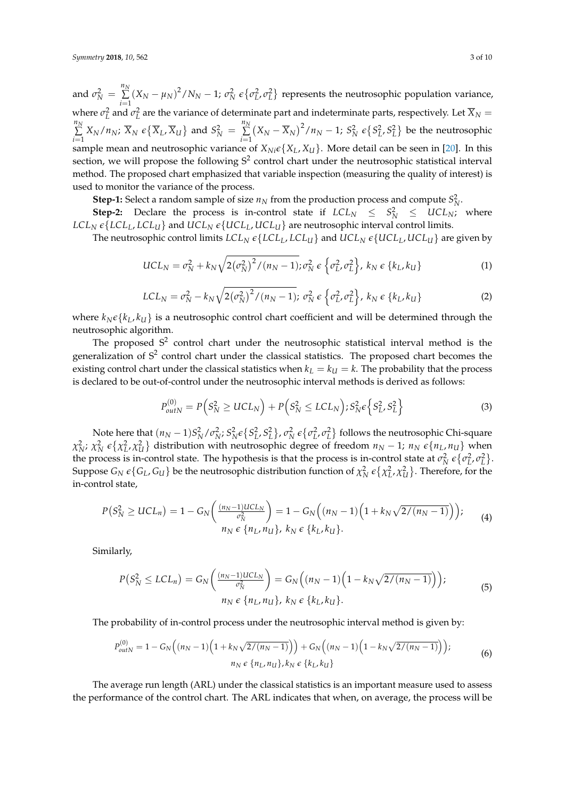and  $\sigma_N^2 = \sum_{i=1}^{n_N}$  $\sum_{i=1}^{N} (X_N - \mu_N)^2 / N_N - 1$ ;  $\sigma_N^2 \epsilon \{\sigma_L^2, \sigma_L^2\}$  represents the neutrosophic population variance, *i*=1 where  $\sigma_L^2$  and  $\sigma_L^2$  are the variance of determinate part and indeterminate parts, respectively. Let  $\overline{X}_N$  =  $n_N$ ∑  $\sum_{i=1}^{n_N} X_N/n_N$ ;  $\overline{X}_N$   $\epsilon \{ \overline{X}_L, \overline{X}_U \}$  and  $S_N^2 = \sum_{i=1}^{n_N}$ ∑ *i*=1  $(X_N - \overline{X}_N)^2 / n_N - 1$ ;  $S_N^2 \epsilon \{ S_L^2, S_L^2 \}$  be the neutrosophic sample mean and neutrosophic variance of  $X_{Ni}\epsilon\{X_L, X_U\}$ . More detail can be seen in [\[20\]](#page-9-12). In this section, we will propose the following  $S^2$  control chart under the neutrosophic statistical interval method. The proposed chart emphasized that variable inspection (measuring the quality of interest) is used to monitor the variance of the process.

**Step-1:** Select a random sample of size  $n_N$  from the production process and compute  $S_N^2$ .

**Step-2:** Declare the process is in-control state if  $LCL_N \leq S_N^2 \leq UCL_N$ ; where  $LCL_N \epsilon \{LCL_L, LCL_U\}$  and  $UCL_N \epsilon \{UCL_L, UCL_U\}$  are neutrosophic interval control limits.

The neutrosophic control limits  $LCL_N \epsilon \{LCL_L, LCL_U\}$  and  $UCL_N \epsilon \{UCL_L, UCL_U\}$  are given by

$$
UCL_N = \sigma_N^2 + k_N \sqrt{2(\sigma_N^2)^2 / (n_N - 1)}; \sigma_N^2 \in \left\{ \sigma_L^2, \sigma_L^2 \right\}, k_N \in \left\{ k_L, k_U \right\}
$$
 (1)

$$
LCL_N = \sigma_N^2 - k_N \sqrt{2(\sigma_N^2)^2 / (n_N - 1)}; \sigma_N^2 \epsilon \left\{ \sigma_L^2, \sigma_L^2 \right\}, k_N \epsilon \left\{ k_L, k_U \right\}
$$
 (2)

where  $k_N \epsilon \{k_L, k_U\}$  is a neutrosophic control chart coefficient and will be determined through the neutrosophic algorithm.

The proposed  $S^2$  control chart under the neutrosophic statistical interval method is the generalization of  $S^2$  control chart under the classical statistics. The proposed chart becomes the existing control chart under the classical statistics when  $k_L = k_U = k$ . The probability that the process is declared to be out-of-control under the neutrosophic interval methods is derived as follows:

$$
P_{outN}^{(0)} = P(S_N^2 \ge UCL_N) + P(S_N^2 \le LCL_N); S_N^2 \epsilon \left\{ S_L^2, S_L^2 \right\}
$$
 (3)

Note here that  $(n_N-1)S_N^2/\sigma_N^2$ ;  $S_N^2\epsilon\{S_L^2,S_L^2\}$ ,  $\sigma_N^2\epsilon\{\sigma_L^2,\sigma_L^2\}$  follows the neutrosophic Chi-square  $\chi^2_N$ ;  $\chi^2_N$   $\epsilon\{\chi^2_L,\chi^2_U\}$  distribution with neutrosophic degree of freedom  $n_N-1$ ;  $n_N$   $\epsilon\{n_L,n_U\}$  when the process is in-control state. The hypothesis is that the process is in-control state at  $\sigma_N^2 \epsilon \{\sigma_L^2, \sigma_L^2\}$ . Suppose  $G_N$   $\epsilon\{G_L,G_U\}$  be the neutrosophic distribution function of  $\chi^2_N$   $\epsilon\{\chi^2_L,\chi^2_U\}$ . Therefore, for the in-control state,

$$
P(S_N^2 \ge UCL_n) = 1 - G_N \left( \frac{(n_N - 1)UCL_N}{\sigma_N^2} \right) = 1 - G_N \left( (n_N - 1) \left( 1 + k_N \sqrt{2/(n_N - 1)} \right) \right); \tag{4}
$$
  

$$
n_N \in \{n_L, n_U\}, k_N \in \{k_L, k_U\}.
$$

Similarly,

$$
P(S_N^2 \le LCL_n) = G_N\left(\frac{(n_N - 1)UCL_N}{\sigma_N^2}\right) = G_N\left((n_N - 1)\left(1 - k_N\sqrt{2/(n_N - 1)}\right)\right);
$$
\n
$$
n_N \in \{n_L, n_U\}, \ k_N \in \{k_L, k_U\}.
$$
\n(5)

The probability of in-control process under the neutrosophic interval method is given by:

$$
P_{outN}^{(0)} = 1 - G_N((n_N - 1)(1 + k_N\sqrt{2/(n_N - 1)})) + G_N((n_N - 1)(1 - k_N\sqrt{2/(n_N - 1)}))
$$
  
\n
$$
n_N \in \{n_L, n_U\}, k_N \in \{k_L, k_U\}
$$
 (6)

The average run length (ARL) under the classical statistics is an important measure used to assess the performance of the control chart. The ARL indicates that when, on average, the process will be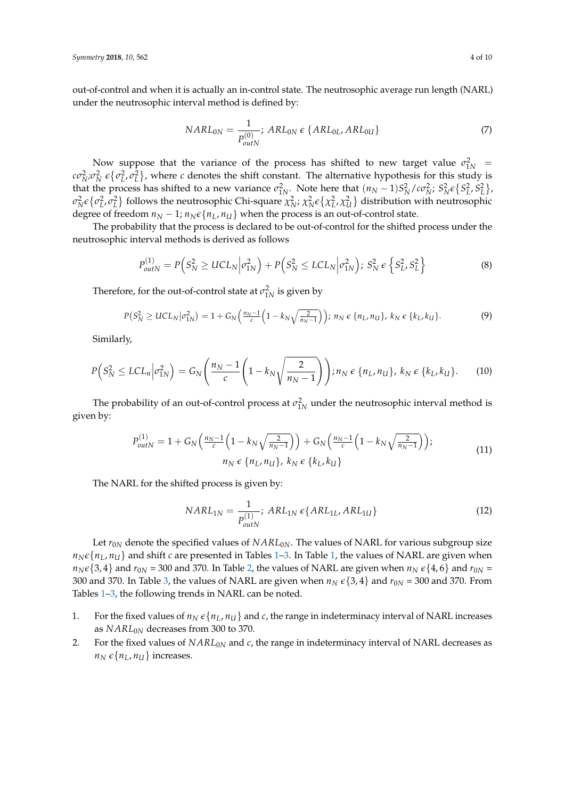out-of-control and when it is actually an in-control state. The neutrosophic average run length (NARL) under the neutrosophic interval method is defined by:

$$
NARL_{0N} = \frac{1}{P_{outN}^{(0)}}; ARL_{0N} \epsilon \left\{ ARL_{0L}, ARL_{0U} \right\} \tag{7}
$$

Now suppose that the variance of the process has shifted to new target value  $\sigma_{1N}^2$  =  $c\sigma_N^2$ ,  $\sigma_N^2$   $\epsilon$  { $\sigma_L^2$ ,  $\sigma_L^2$ }, where *c* denotes the shift constant. The alternative hypothesis for this study is that the process has shifted to a new variance  $\sigma_{1N}^2$ . Note here that  $(n_N-1)S_N^2/c\sigma_N^2$ ;  $S_N^2 \epsilon \{S_L^2, S_L^2\}$ ,  $\{\sigma_N^2\epsilon\{\sigma_L^2,\sigma_L^2\}$  follows the neutrosophic Chi-square  $\chi_N^2$ ;  $\chi_N^2\epsilon\{\chi_L^2,\chi_U^2\}$  distribution with neutrosophic degree of freedom  $n_N - 1$ ;  $n_N \in \{n_L, n_U\}$  when the process is an out-of-control state.

The probability that the process is declared to be out-of-control for the shifted process under the neutrosophic interval methods is derived as follows

$$
P_{outN}^{(1)} = P(S_N^2 \ge UCL_N \Big | \sigma_{1N}^2) + P(S_N^2 \le LCL_N \Big | \sigma_{1N}^2); S_N^2 \epsilon \left\{ S_L^2, S_L^2 \right\}
$$
(8)

Therefore, for the out-of-control state at  $\sigma_{1N}^2$  is given by

$$
P(S_N^2 \geq UCL_N | \sigma_{1N}^2) = 1 + G_N\left(\frac{n_N - 1}{c} \left(1 - k_N \sqrt{\frac{2}{n_N - 1}}\right)\right); \ n_N \in \{n_L, n_U\}, \ k_N \in \{k_L, k_U\}.
$$
 (9)

Similarly,

$$
P(S_N^2 \le LCL_n \bigg| \sigma_{1N}^2 \bigg) = G_N \bigg( \frac{n_N - 1}{c} \bigg( 1 - k_N \sqrt{\frac{2}{n_N - 1}} \bigg) \bigg); n_N \in \{n_L, n_U\}, k_N \in \{k_L, k_U\}.
$$
 (10)

The probability of an out-of-control process at  $\sigma_{1N}^2$  under the neutrosophic interval method is given by:

$$
P_{outN}^{(1)} = 1 + G_N \left( \frac{n_N - 1}{c} \left( 1 - k_N \sqrt{\frac{2}{n_N - 1}} \right) \right) + G_N \left( \frac{n_N - 1}{c} \left( 1 - k_N \sqrt{\frac{2}{n_N - 1}} \right) \right);
$$
  
\n
$$
n_N \epsilon \{ n_L, n_U \}, k_N \epsilon \{ k_L, k_U \}
$$
\n(11)

The NARL for the shifted process is given by:

$$
NARL_{1N} = \frac{1}{P_{outN}^{(1)}}; ARL_{1N} \epsilon \{ARL_{1L}, ARL_{1U}\}
$$
 (12)

Let  $r_{0N}$  denote the specified values of  $NARL_{0N}$ . The values of NARL for various subgroup size  $n_N \epsilon \{n_L, n_U\}$  and shift *c* are presented in Tables [1](#page-4-0)[–3.](#page-4-1) In Table [1,](#page-4-0) the values of NARL are given when  $n_N \in \{3, 4\}$  and  $r_{0N} = 300$  and 370. In Table [2,](#page-4-2) the values of NARL are given when  $n_N \in \{4, 6\}$  and  $r_{0N} =$ 300 and 370. In Table [3,](#page-4-1) the values of NARL are given when  $n_N \in \{3, 4\}$  and  $r_{0N} = 300$  and 370. From Tables [1](#page-4-0)[–3,](#page-4-1) the following trends in NARL can be noted.

- 1. For the fixed values of  $n_N \epsilon \{n_L, n_U\}$  and *c*, the range in indeterminacy interval of NARL increases as *NARL*0*<sup>N</sup>* decreases from 300 to 370.
- 2. For the fixed values of  $NARL<sub>0N</sub>$  and *c*, the range in indeterminacy interval of NARL decreases as  $n_N \varepsilon \{n_L, n_U\}$  increases.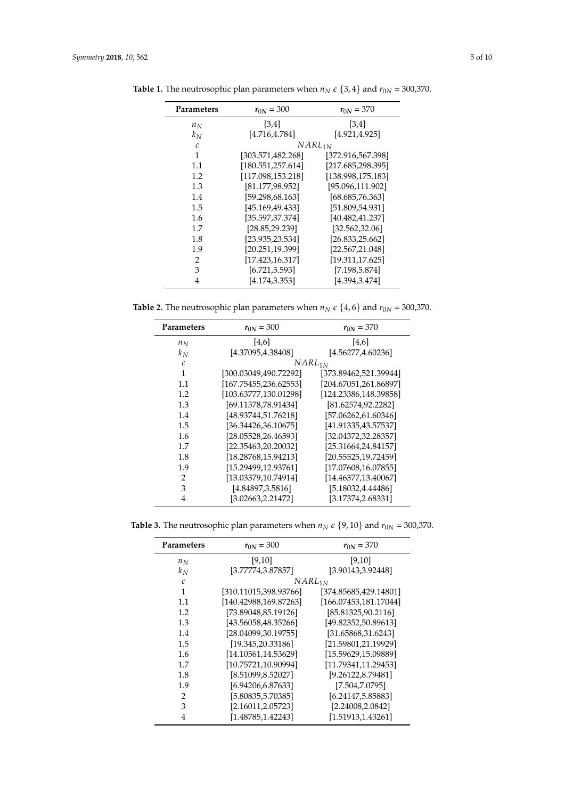| Parameters | $r_{0N} = 300$     | $r_{0N} = 370$    |  |  |  |
|------------|--------------------|-------------------|--|--|--|
| $n_N$      | [3,4]              | [3,4]             |  |  |  |
| $k_N$      | [4.716, 4.784]     | [4.921, 4.925]    |  |  |  |
| C          | NARL <sub>1N</sub> |                   |  |  |  |
| 1          | [303.571,482.268]  | [372.916,567.398] |  |  |  |
| 1.1        | [180.551,257.614]  | [217.685,298.395] |  |  |  |
| 1.2        | [117.098, 153.218] | [138.998,175.183] |  |  |  |
| 1.3        | [81.177,98.952]    | [95.096,111.902]  |  |  |  |
| 1.4        | [59.298, 68.163]   | [68.685,76.363]   |  |  |  |
| 1.5        | [45.169, 49.433]   | [51.809,54.931]   |  |  |  |
| 1.6        | [35.597,37.374]    | [40.482,41.237]   |  |  |  |
| 1.7        | [28.85,29.239]     | [32.562, 32.06]   |  |  |  |
| 1.8        | [23.935,23.534]    | [26.833,25.662]   |  |  |  |
| 1.9        | [20.251,19.399]    | [22.567,21.048]   |  |  |  |
| 2          | [17.423,16.317]    | [19.311, 17.625]  |  |  |  |
| 3          | [6.721, 5.593]     | [7.198, 5.874]    |  |  |  |
| 4          | [4.174,3.353]      | [4.394,3.474]     |  |  |  |

<span id="page-4-0"></span>**Table 1.** The neutrosophic plan parameters when  $n_N \in \{3, 4\}$  and  $r_{0N} = 300,370$ .

<span id="page-4-2"></span>**Table 2.** The neutrosophic plan parameters when  $n_N \in \{4, 6\}$  and  $r_{0N} = 300,370$ .

| Parameters    | $r_{0N} = 300$        | $r_{0N} = 370$        |  |  |  |
|---------------|-----------------------|-----------------------|--|--|--|
| $n_N$         | [4,6]                 | [4,6]                 |  |  |  |
| $k_N$         | [4.37095,4.38408]     | [4.56277,4.60236]     |  |  |  |
| C             | $NARL_{1N}$           |                       |  |  |  |
| 1             | [300.03049,490.72292] | [373.89462,521.39944] |  |  |  |
| 1.1           | [167.75455,236.62553] | [204.67051,261.86897] |  |  |  |
| 1.2           | [103.63777,130.01298] | [124.23386,148.39858] |  |  |  |
| 1.3           | [69.11578,78.91434]   | [81.62574,92.2282]    |  |  |  |
| 1.4           | [48.93744,51.76218]   | [57.06262, 61.60346]  |  |  |  |
| 1.5           | [36.34426,36.10675]   | [41.91335,43.57537]   |  |  |  |
| 1.6           | [28.05528,26.46593]   | [32.04372,32.28357]   |  |  |  |
| 1.7           | [22.35463,20.20032]   | [25.31664,24.84157]   |  |  |  |
| 1.8           | [18.28768,15.94213]   | [20.55525,19.72459]   |  |  |  |
| 1.9           | [15.29499,12.93761]   | [17.07608, 16.07855]  |  |  |  |
| $\mathcal{L}$ | [13.03379,10.74914]   | [14.46377,13.40067]   |  |  |  |
| 3             | [4.84897, 3.5816]     | [5.18032, 4.44486]    |  |  |  |
| 4             | [3.02663,2.21472]     | [3.17374,2.68331]     |  |  |  |

<span id="page-4-1"></span>**Table 3.** The neutrosophic plan parameters when  $n_N \in \{9, 10\}$  and  $r_{0N} = 300,370$ .

| <b>Parameters</b> | $r_{0N} = 300$        | $r_{0N} = 370$        |  |  |  |
|-------------------|-----------------------|-----------------------|--|--|--|
| $n_N$             | [9,10]                | [9,10]                |  |  |  |
| $k_N$             | [3.77774,3.87857]     | [3.90143,3.92448]     |  |  |  |
| C                 | $NARL_{1N}$           |                       |  |  |  |
| 1                 | [310.11015,398.93766] | [374.85685,429.14801] |  |  |  |
| 1.1               | [140.42988,169.87263] | [166.07453,181.17044] |  |  |  |
| 1.2               | [73.89048,85.19126]   | [85.81325,90.2116]    |  |  |  |
| 1.3               | [43.56058,48.35266]   | [49.82352,50.89613]   |  |  |  |
| 1.4               | [28.04099,30.19755]   | [31.65868,31.6243]    |  |  |  |
| 1.5               | [19.345, 20.33186]    | [21.59801,21.19929]   |  |  |  |
| 1.6               | [14.10561,14.53629]   | [15.59629,15.09889]   |  |  |  |
| 1.7               | [10.75721,10.90994]   | [11.79341,11.29453]   |  |  |  |
| 1.8               | [8.51099,8.52027]     | [9.26122, 8.79481]    |  |  |  |
| 1.9               | [6.94206,6.87633]     | [7.504,7.0795]        |  |  |  |
| $\mathcal{L}$     | [5.80835,5.70385]     | [6.24147, 5.85883]    |  |  |  |
| 3                 | [2.16011,2.05723]     | [2.24008,2.0842]      |  |  |  |
| 4                 | [1.48785,1.42243]     | [1.51913, 1.43261]    |  |  |  |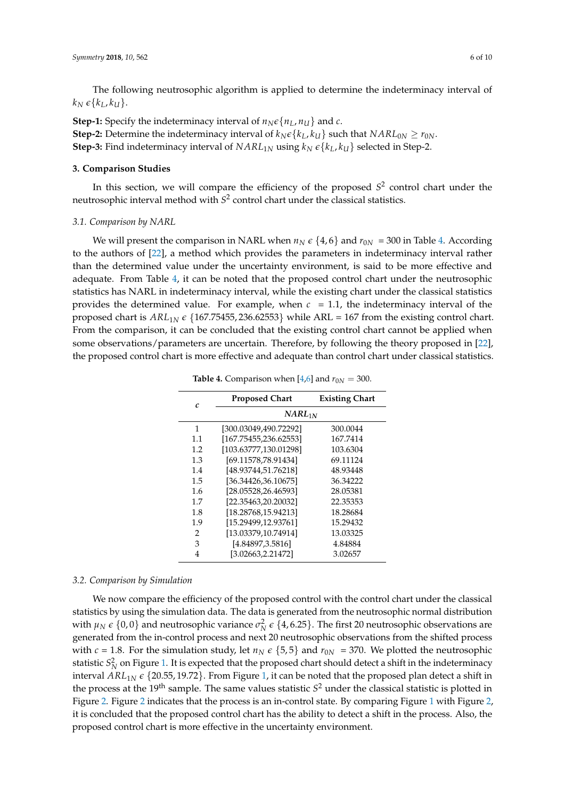The following neutrosophic algorithm is applied to determine the indeterminacy interval of  $k_N \in \{k_L, k_U\}.$ 

**Step-1:** Specify the indeterminacy interval of  $n_N \in \{n_L, n_U\}$  and *c*. **Step-2:** Determine the indeterminacy interval of  $k_N \epsilon \{k_L, k_U\}$  such that  $NARL_{0N} \ge r_{0N}$ . **Step-3:** Find indeterminacy interval of  $NARL_{1N}$  using  $k_N \in \{k_L, k_U\}$  selected in Step-2.

#### <span id="page-5-0"></span>**3. Comparison Studies**

In this section, we will compare the efficiency of the proposed *S* 2 control chart under the neutrosophic interval method with *S* 2 control chart under the classical statistics.

#### *3.1. Comparison by NARL*

We will present the comparison in NARL when  $n_N \in \{4, 6\}$  and  $r_{0N} = 300$  in Table [4.](#page-5-1) According to the authors of [\[22\]](#page-9-14), a method which provides the parameters in indeterminacy interval rather than the determined value under the uncertainty environment, is said to be more effective and adequate. From Table [4,](#page-5-1) it can be noted that the proposed control chart under the neutrosophic statistics has NARL in indeterminacy interval, while the existing chart under the classical statistics provides the determined value. For example, when  $c = 1.1$ , the indeterminacy interval of the proposed chart is  $ARL_{1N} \epsilon \{167.75455, 236.62553\}$  while ARL = 167 from the existing control chart. From the comparison, it can be concluded that the existing control chart cannot be applied when some observations/parameters are uncertain. Therefore, by following the theory proposed in [\[22\]](#page-9-14), the proposed control chart is more effective and adequate than control chart under classical statistics.

<span id="page-5-1"></span>*c* **Proposed Chart Existing Chart** *NARL*1*<sup>N</sup>* 1 [300.03049,490.72292] 300.0044 1.1 [167.75455,236.62553] 167.7414 1.2  $[103.63777, 130.01298]$  103.6304 1.3 [69.11578,78.91434] 69.11124 1.4 [48.93744,51.76218] 48.93448 1.5 [36.34426,36.10675] 36.34222 1.6 [28.05528,26.46593] 28.05381 1.7 [22.35463,20.20032] 22.35353 1.8 [18.28768,15.94213] 18.28684 1.9  $[15.29499, 12.93761]$  15.29432<br>2  $[13.03379, 10.74914]$  13.03325 2 [13.03379,10.74914] 13.03325 3 [4.84897,3.5816] 4.84884 4 [3.02663,2.21472] 3.02657

**Table 4.** Comparison when  $[4,6]$  $[4,6]$  and  $r_{0N} = 300$ .

#### *3.2. Comparison by Simulation*

We now compare the efficiency of the proposed control with the control chart under the classical statistics by using the simulation data. The data is generated from the neutrosophic normal distribution with  $\mu_N \in \{0,0\}$  and neutrosophic variance  $\sigma_N^2 \in \{4,6.25\}$ . The first 20 neutrosophic observations are generated from the in-control process and next 20 neutrosophic observations from the shifted process with  $c = 1.8$ . For the simulation study, let  $n_N \in \{5, 5\}$  and  $r_{0N} = 370$ . We plotted the neutrosophic statistic  $S_N^2$  on Figure [1.](#page-6-1) It is expected that the proposed chart should detect a shift in the indeterminacy interval  $ARL_{1N} \in \{20.55, 19.72\}$ . From Figure [1,](#page-6-1) it can be noted that the proposed plan detect a shift in the process at the 19<sup>th</sup> sample. The same values statistic  $S^2$  under the classical statistic is plotted in Figure [2.](#page-6-2) Figure [2](#page-6-2) indicates that the process is an in-control state. By comparing Figure [1](#page-6-1) with Figure [2,](#page-6-2) it is concluded that the proposed control chart has the ability to detect a shift in the process. Also, the proposed control chart is more effective in the uncertainty environment.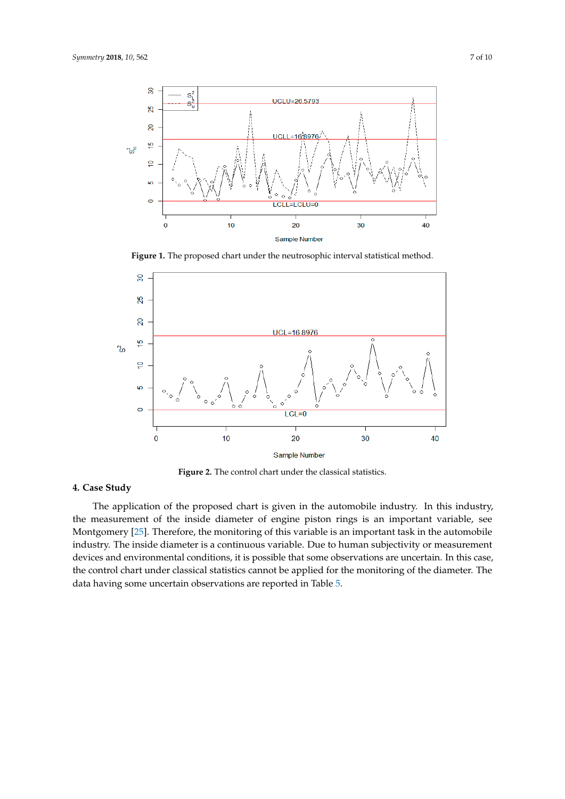<span id="page-6-1"></span>

<span id="page-6-2"></span>Figure 1. The proposed chart under the neutrosophic interval statistical method.



**Figure 2.** The control chart under the classical statistics. **Figure 2.** The control chart under the classical statistics.

### <span id="page-6-0"></span>**4. Case Study 4. Case Study**

the measurement of the inside diameter of engine piston rings is an important variable, see Montgomery [\[25\]](#page-9-17). Therefore, the monitoring of this variable is an important task in the automobile industry. The inside diameter is a continuous variable. Due to human subjectivity or measurement devices and environmental conditions, it is possible that some observations are uncertain. In this case, the control chart under classical statistics cannot be applied for the monitoring of the diameter. The data having some uncertain observations are reported in Table [5.](#page-7-0) The application of the proposed chart is given in the automobile industry. In this industry,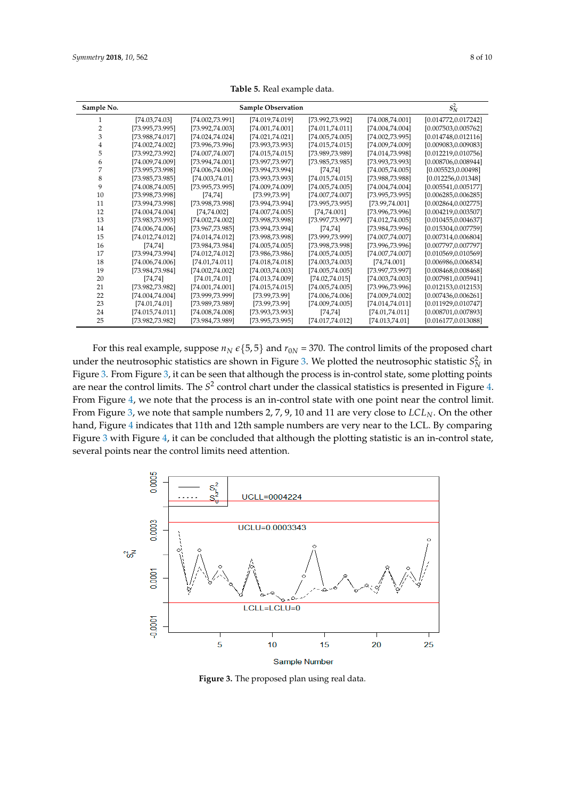<span id="page-7-0"></span>

| Sample No. | <b>Sample Observation</b> |                 |                 |                 |                 | $S_N^2$              |
|------------|---------------------------|-----------------|-----------------|-----------------|-----------------|----------------------|
|            | [74.03,74.03]             | 174.002,73.9911 | [74.019,74.019] | 173.992,73.9921 | [74.008,74.001] | [0.014772, 0.017242] |
|            | 173.995,73.9951           | [73.992,74.003] | [74.001,74.001] | [74.011,74.011] | [74.004,74.004] | [0.007503, 0.005762] |
| 3          | [73.988,74.017]           | [74.024,74.024] | [74.021,74.021] | [74.005,74.005] | 174.002,73.9951 | [0.014748, 0.012116] |
|            | [74.002,74.002]           | [73.996,73.996] | [73.993,73.993] | [74.015,74.015] | [74.009,74.009] | [0.009083, 0.009083] |
|            | [73.992,73.992]           | [74.007,74.007] | [74.015,74.015] | [73.989,73.989] | [74.014,73.998] | [0.012219, 0.010756] |
| 6          | [74.009,74.009]           | [73.994,74.001] | [73.997,73.997] | 73.985,73.985   | [73.993,73.993] | [0.008706,0.008944]  |
|            | 173.995,73.9981           | 174.006,74.0061 | [73.994,73.994] | 174,741         | [74.005,74.005] | 10.005523,0.004981   |
| 8          | 73.985,73.985             | [74.003,74.01]  | [73.993,73.993] | [74.015,74.015] | [73.988,73.988] | [0.012256, 0.01348]  |
| 9          | [74.008,74.005]           | 173.995,73.9951 | [74.009,74.009] | [74.005,74.005] | [74.004,74.004] | 10.005541,0.0051771  |
| 10         | 173.998,73.9981           | [74, 74]        | [73.99,73.99]   | [74.007,74.007] | 73.995,73.995   | [0.006285, 0.006285] |
| 11         | [73.994,73.998]           | 173.998,73.9981 | [73.994,73.994] | 173.995,73.9951 | [73.99,74.001]  | 10.002864,0.0027751  |
| 12         | [74.004,74.004]           | [74,74.002]     | [74.007,74.005] | [74,74.001]     | [73.996,73.996] | [0.004219, 0.003507] |
| 13         | [73.983,73.993]           | [74.002,74.002] | [73.998,73.998] | [73.997,73.997] | [74.012,74.005] | 10.010455,0.0046371  |
| 14         | [74.006,74.006]           | 73.967,73.985   | [73.994,73.994] | 174,741         | [73.984,73.996] | [0.015304, 0.007759] |
| 15         | 174.012,74.0121           | [74.014,74.012] | [73.998,73.998] | [73.999,73.999] | [74.007,74.007] | [0.007314,0.006804]  |
| 16         | [74, 74]                  | [73.984,73.984] | [74.005,74.005] | [73.998,73.998] | [73.996,73.996] | [0.007797, 0.007797] |
| 17         | 173.994,73.9941           | [74.012,74.012] | 173.986,73.9861 | [74.005,74.005] | 174.007,74.0071 | [0.010569, 0.010569] |
| 18         | [74.006,74.006]           | [74.01,74.011]  | [74.018,74.018] | [74.003,74.003] | [74,74.001]     | [0.006986,0.006834]  |
| 19         | [73.984,73.984]           | [74.002,74.002] | [74.003,74.003] | [74.005,74.005] | 173.997,73.9971 | [0.008468,0.008468]  |
| 20         | 174,741                   | [74.01, 74.01]  | [74.013,74.009] | [74.02, 74.015] | [74.003,74.003] | [0.007981, 0.005941] |
| 21         | 173.982,73.9821           | [74.001,74.001] | [74.015,74.015] | 174.005,74.0051 | 173.996,73.9961 | [0.012153, 0.012153] |
| 22         | [74.004,74.004]           | [73.999,73.999] | [73.99,73.99]   | 174.006.74.0061 | 174.009,74.0021 | 10.007436,0.0062611  |
| 23         | [74.01,74.01]             | [73.989,73.989] | [73.99,73.99]   | 174.009,74.0051 | [74.014,74.011] | [0.011929, 0.010747] |
| 24         | [74.015,74.011]           | [74.008,74.008] | [73.993,73.993] | [74, 74]        | [74.01, 74.011] | [0.008701,0.007893]  |
| 25         | 173.982,73.9821           | 173.984,73.9891 | 173.995,73.9951 | 174.017,74.0121 | [74.013,74.01]  | 10.016177,0.0130881  |

**Table 5.** Real example data.

For this real example, suppose  $n_N \epsilon \{5, 5\}$  and  $r_{0N} = 370$ . The control limits of the proposed chart under the neutrosophic statistics are shown in Figure [3.](#page-7-1) We plotted the neutrosophic statistic  $S_N^2$  in Figure [3.](#page-7-1) From Figure [3,](#page-7-1) it can be seen that although the process is in-control state, some plotting points are near the control limits. The  $S^2$  control chart under the classical statistics is presented in Figure  $4$ . Fro[m](#page-8-7) Figure  $4$ , we note that the process is an in-control state with one point near the control limit. From [Fig](#page-7-1)ure 3, we note that sample numbers 2, 7, 9, 10 and 11 are very close to  $LCL_N$ . On the other hand, [Fi](#page-8-7)gure 4 indicates that 11th and 12th sample numbers are very near to the LCL. By comparing Figure 3 [w](#page-8-7)ith Figure 4, it can be concluded that although the plotting statistic is an in-control state, several points near the control limits need attention.

<span id="page-7-1"></span>

**Figure 3.** The proposed plan using real data. **Figure 3.** The proposed plan using real data.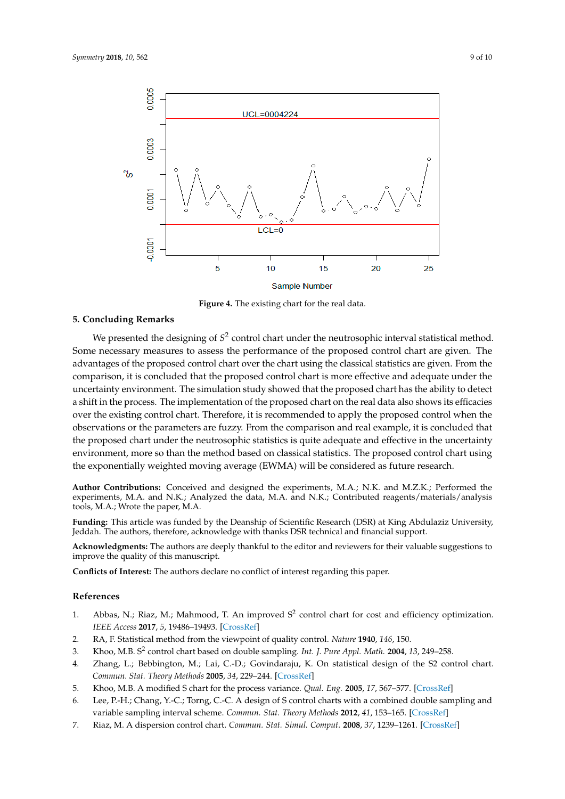

<span id="page-8-7"></span>

**Figure 4.** The existing chart for the real data. **Figure 4.** The existing chart for the real data.

## **5. Concluding Remarks**

**5. Concluding Remarks**  Some necessary measures to assess the performance of the proposed control chart are given. The advantages of the proposed control chart over the chart using the classical statistics are given. From the comparison, it is concluded that the proposed control chart is more effective and adequate under the uncertainty environment. The simulation study showed that the proposed chart has the ability to detect a shift in the process. The implementation of the proposed chart on the real data also shows its efficacies over the existing control chart. Therefore, it is recommended to apply the proposed control when the observations or the parameters are fuzzy. From the comparison and real example, it is concluded that the proposed chart under the neutrosophic statistics is quite adequate and effective in the uncertainty environment, more so than the method based on classical statistics. The proposed control chart using We presented the designing of  $S^2$  control chart under the neutrosophic interval statistical method. the exponentially weighted moving average (EWMA) will be considered as future research.

**Author Contributions:** Conceived and designed the experiments, M.A.; N.K. and M.Z.K.; Performed the experiments, M.A. and N.K.; Analyzed the data, M.A. and N.K.; Contributed reagents/materials/analysis tools, M.A.; Wrote the paper, M.A.

**Funding:** This article was funded by the Deanship of Scientific Research (DSR) at King Abdulaziz University, Jeddah. The authors, therefore, acknowledge with thanks DSR technical and financial support.

**Acknowledgments:** The authors are deeply thankful to the editor and reviewers for their valuable suggestions to improve the quality of this manuscript.

**Conflicts of Interest:** The authors declare no conflict of interest regarding this paper.

## **References**

- <span id="page-8-0"></span>1. Abbas, N.; Riaz, M.; Mahmood, T. An improved  $S^2$  control chart for cost and efficiency optimization. *IEEE Access* **2017**, *5*, 19486–19493. [\[CrossRef\]](http://dx.doi.org/10.1109/ACCESS.2017.2755440)
- <span id="page-8-1"></span>2. RA, F. Statistical method from the viewpoint of quality control. *Nature* **1940**, *146*, 150.
- <span id="page-8-2"></span>3. Khoo, M.B. S<sup>2</sup> control chart based on double sampling. *Int. J. Pure Appl. Math.* **2004**, 13, 249–258.
- <span id="page-8-3"></span>4. Zhang, L.; Bebbington, M.; Lai, C.-D.; Govindaraju, K. On statistical design of the S2 control chart. *Commun. Stat. Theory Methods* **2005**, *34*, 229–244. [\[CrossRef\]](http://dx.doi.org/10.1081/STA-200045817)
- <span id="page-8-4"></span>5. Khoo, M.B. A modified S chart for the process variance. *Qual. Eng.* **2005**, *17*, 567–577. [\[CrossRef\]](http://dx.doi.org/10.1080/08982110500225356)
- <span id="page-8-5"></span>6. Lee, P.-H.; Chang, Y.-C.; Torng, C.-C. A design of S control charts with a combined double sampling and variable sampling interval scheme. *Commun. Stat. Theory Methods* **2012**, *41*, 153–165. [\[CrossRef\]](http://dx.doi.org/10.1080/03610926.2010.521283)
- <span id="page-8-6"></span>7. Riaz, M. A dispersion control chart. *Commun. Stat. Simul. Comput.* **2008**, *37*, 1239–1261. [\[CrossRef\]](http://dx.doi.org/10.1080/03610910802049623)